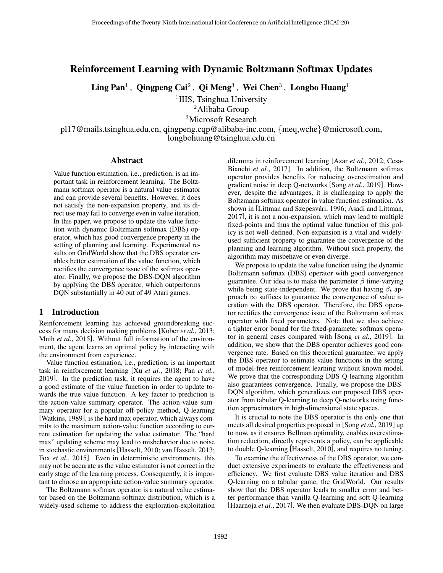# Reinforcement Learning with Dynamic Boltzmann Softmax Updates

 $\mathbf{Ling~Pan}^1\,,~\mathbf{Qingpeng~Cai^2} \,,~\mathbf{Qi~Meng^3} \,,~\mathbf{Wei~Chen^3} \,,~\mathbf{Longbo~Huang^1}$ 

<sup>1</sup>IIIS, Tsinghua University

<sup>2</sup>Alibaba Group

<sup>3</sup>Microsoft Research

pl17@mails.tsinghua.edu.cn, qingpeng.cqp@alibaba-inc.com, {meq,wche}@microsoft.com, longbohuang@tsinghua.edu.cn

#### Abstract

Value function estimation, i.e., prediction, is an important task in reinforcement learning. The Boltzmann softmax operator is a natural value estimator and can provide several benefits. However, it does not satisfy the non-expansion property, and its direct use may fail to converge even in value iteration. In this paper, we propose to update the value function with dynamic Boltzmann softmax (DBS) operator, which has good convergence property in the setting of planning and learning. Experimental results on GridWorld show that the DBS operator enables better estimation of the value function, which rectifies the convergence issue of the softmax operator. Finally, we propose the DBS-DQN algorithm by applying the DBS operator, which outperforms DQN substantially in 40 out of 49 Atari games.

### 1 Introduction

Reinforcement learning has achieved groundbreaking success for many decision making problems [\[Kober](#page-6-0) *et al.*, 2013; Mnih *et al.*[, 2015\]](#page-6-1). Without full information of the environment, the agent learns an optimal policy by interacting with the environment from experience.

Value function estimation, i.e., prediction, is an important task in reinforcement learning [Xu *et al.*[, 2018;](#page-6-2) Pan *[et al.](#page-6-3)*, [2019\]](#page-6-3). In the prediction task, it requires the agent to have a good estimate of the value function in order to update towards the true value function. A key factor to prediction is the action-value summary operator. The action-value summary operator for a popular off-policy method, Q-learning [\[Watkins, 1989\]](#page-6-4), is the hard max operator, which always commits to the maximum action-value function according to current estimation for updating the value estimator. The "hard max" updating scheme may lead to misbehavior due to noise in stochastic environments [\[Hasselt, 2010;](#page-6-5) [van Hasselt, 2013;](#page-6-6) Fox *et al.*[, 2015\]](#page-6-7). Even in deterministic environments, this may not be accurate as the value estimator is not correct in the early stage of the learning process. Consequently, it is important to choose an appropriate action-value summary operator.

The Boltzmann softmax operator is a natural value estimator based on the Boltzmann softmax distribution, which is a widely-used scheme to address the exploration-exploitation dilemma in reinforcement learning [Azar *et al.*[, 2012;](#page-6-8) [Cesa-](#page-6-9)[Bianchi](#page-6-9) *et al.*, 2017]. In addition, the Boltzmann softmax operator provides benefits for reducing overestimation and gradient noise in deep Q-networks [Song *et al.*[, 2019\]](#page-6-10). However, despite the advantages, it is challenging to apply the Boltzmann softmax operator in value function estimation. As shown in [Littman and Szepesvári, 1996; [Asadi and Littman,](#page-6-12) [2017\]](#page-6-12), it is not a non-expansion, which may lead to multiple fixed-points and thus the optimal value function of this policy is not well-defined. Non-expansion is a vital and widelyused sufficient property to guarantee the convergence of the planning and learning algorithm. Without such property, the algorithm may misbehave or even diverge.

We propose to update the value function using the dynamic Boltzmann softmax (DBS) operator with good convergence guarantee. Our idea is to make the parameter  $\beta$  time-varying while being state-independent. We prove that having  $\beta_t$  approach  $\infty$  suffices to guarantee the convergence of value iteration with the DBS operator. Therefore, the DBS operator rectifies the convergence issue of the Boltzmann softmax operator with fixed parameters. Note that we also achieve a tighter error bound for the fixed-parameter softmax operator in general cases compared with [Song *et al.*[, 2019\]](#page-6-10). In addition, we show that the DBS operator achieves good convergence rate. Based on this theoretical guarantee, we apply the DBS operator to estimate value functions in the setting of model-free reinforcement learning without known model. We prove that the corresponding DBS Q-learning algorithm also guarantees convergence. Finally, we propose the DBS-DQN algorithm, which generalizes our proposed DBS operator from tabular Q-learning to deep Q-networks using function approximators in high-dimensional state spaces.

It is crucial to note the DBS operator is the only one that meets all desired properties proposed in [Song *et al.*[, 2019\]](#page-6-10) up to now, as it ensures Bellman optimality, enables overestimation reduction, directly represents a policy, can be applicable to double Q-learning [\[Hasselt, 2010\]](#page-6-5), and requires no tuning.

To examine the effectiveness of the DBS operator, we conduct extensive experiments to evaluate the effectiveness and efficiency. We first evaluate DBS value iteration and DBS Q-learning on a tabular game, the GridWorld. Our results show that the DBS operator leads to smaller error and better performance than vanilla Q-learning and soft Q-learning [\[Haarnoja](#page-6-13) *et al.*, 2017]. We then evaluate DBS-DQN on large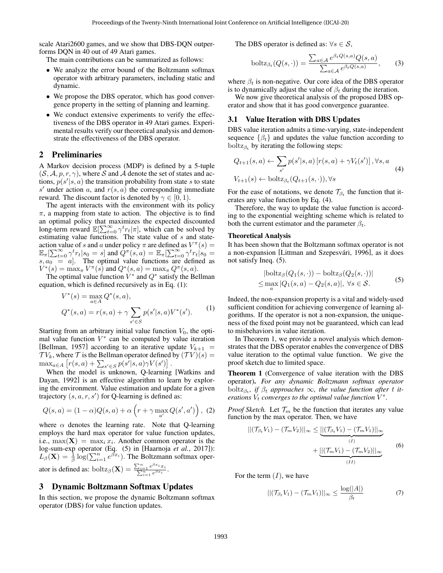scale Atari2600 games, and we show that DBS-DQN outperforms DQN in 40 out of 49 Atari games.

The main contributions can be summarized as follows:

- We analyze the error bound of the Boltzmann softmax operator with arbitrary parameters, including static and dynamic.
- We propose the DBS operator, which has good convergence property in the setting of planning and learning.
- We conduct extensive experiments to verify the effectiveness of the DBS operator in 49 Atari games. Experimental results verify our theoretical analysis and demonstrate the effectiveness of the DBS operator.

### 2 Preliminaries

A Markov decision process (MDP) is defined by a 5-tuple  $(S, \mathcal{A}, p, r, \gamma)$ , where S and A denote the set of states and actions,  $p(s'|s, a)$  the transition probability from state s to state s' under action a, and  $r(s, a)$  the corresponding immediate reward. The discount factor is denoted by  $\gamma \in [0, 1)$ .

The agent interacts with the environment with its policy  $\pi$ , a mapping from state to action. The objective is to find an optimal policy that maximizes the expected discounted long-term reward  $\mathbb{E}[\sum_{t=0}^{\infty} \gamma^t r_t | \pi]$ , which can be solved by estimating value functions. The state value of s and stateaction value of s and a under policy  $\pi$  are defined as  $V^{\pi}(s) =$  $\mathbb{E}_\pi[\sum_{t=0}^\infty \gamma^t_r t | s_0 = s]$  and  $Q^\pi(s,a) = \mathbb{E}_\pi[\sum_{t=0}^\infty \gamma^t r_t | s_0 = s]$  $s, a_0 = a$ . The optimal value functions are defined as  $V^*(s) = \max_{\pi} V^{\pi}(s)$  and  $Q^*(s, a) = \max_{\pi} Q^{\pi}(s, a)$ .

The optimal value function  $\dot{V}^*$  and  $Q^*$  satisfy the Bellman equation, which is defined recursively as in Eq. [\(1\)](#page-1-0):

$$
V^*(s) = \max_{a \in A} Q^*(s, a),
$$
  
\n
$$
Q^*(s, a) = r(s, a) + \gamma \sum_{s' \in S} p(s'|s, a) V^*(s').
$$
\n(1)

Starting from an arbitrary initial value function  $V_0$ , the optimal value function  $V^*$  can be computed by value iteration [\[Bellman, 1957\]](#page-6-14) according to an iterative update  $V_{k+1}$  =  $TV_k$ , where  $\mathcal T$  is the Bellman operator defined by  $(\mathcal T V)(s) =$  $\max_{a \in A} [r(s, a) + \sum_{s' \in S} p(s'|s, a) \gamma V(s')]$ .

When the model is unknown, Q-learning [\[Watkins and](#page-6-15) [Dayan, 1992\]](#page-6-15) is an effective algorithm to learn by exploring the environment. Value estimation and update for a given trajectory  $(s, a, r, s')$  for Q-learning is defined as:

$$
Q(s,a) = (1-\alpha)Q(s,a) + \alpha \left(r + \gamma \max_{a'} Q(s',a')\right), \tag{2}
$$

where  $\alpha$  denotes the learning rate. Note that Q-learning employs the hard max operator for value function updates, i.e.,  $\max(\mathbf{X}) = \max_i x_i$ . Another common operator is the log-sum-exp operator (Eq. (5) in [\[Haarnoja](#page-6-13) *et al.*, 2017]):  $L_{\beta}(\mathbf{X}) = \frac{1}{\beta} \log(\sum_{i=1}^{n} e^{\beta x_i})$ . The Boltzmann softmax operator is defined as:  $\text{boltz}_{\beta}(\mathbf{X}) = \frac{\sum_{i=1}^{n} e}{\sum_{i=1}^{n}}$  $\frac{e^{\beta x_i}x_i}{\frac{n}{e^{\beta x_i}}}$ .

#### 3 Dynamic Boltzmann Softmax Updates

In this section, we propose the dynamic Boltzmann softmax operator (DBS) for value function updates.

The DBS operator is defined as:  $\forall s \in S$ ,

$$
\text{boltz}_{\beta_t}(Q(s,\cdot)) = \frac{\sum_{a \in \mathcal{A}} e^{\beta_t Q(s,a)} Q(s,a)}{\sum_{a \in \mathcal{A}} e^{\beta_t Q(s,a)}},\tag{3}
$$

where  $\beta_t$  is non-negative. Our core idea of the DBS operator is to dynamically adjust the value of  $\beta_t$  during the iteration.

We now give theoretical analysis of the proposed DBS operator and show that it has good convergence guarantee.

### 3.1 Value Iteration with DBS Updates

DBS value iteration admits a time-varying, state-independent sequence  $\{\beta_t\}$  and updates the value function according to boltz $\beta_t$  by iterating the following steps:

<span id="page-1-1"></span>
$$
Q_{t+1}(s,a) \leftarrow \sum_{s'} p(s'|s,a) [r(s,a) + \gamma V_t(s')] , \forall s, a
$$
  

$$
V_{t+1}(s) \leftarrow \text{boltz}_{\beta_t}(Q_{t+1}(s,\cdot)), \forall s
$$
 (4)

For the ease of notations, we denote  $\mathcal{T}_{\beta_t}$  the function that iterates any value function by Eq. [\(4\)](#page-1-1).

Therefore, the way to update the value function is according to the exponential weighting scheme which is related to both the current estimator and the parameter  $\beta_t$ .

#### Theoretical Analysis

It has been shown that the Boltzmann softmax operator is not a non-expansion [Littman and Szepesvári, 1996], as it does not satisfy Ineq. [\(5\)](#page-1-2).

<span id="page-1-2"></span>
$$
|\text{boltz}_{\beta}(Q_1(s,\cdot)) - \text{boltz}_{\beta}(Q_2(s,\cdot))|
$$
  
\n
$$
\leq \max_{a} |Q_1(s,a) - Q_2(s,a)|, \forall s \in \mathcal{S}.
$$
 (5)

<span id="page-1-0"></span>Indeed, the non-expansion property is a vital and widely-used sufficient condition for achieving convergence of learning algorithms. If the operator is not a non-expansion, the uniqueness of the fixed point may not be guaranteed, which can lead to misbehaviors in value iteration.

In Theorem [1,](#page-1-3) we provide a novel analysis which demonstrates that the DBS operator enables the convergence of DBS value iteration to the optimal value function. We give the proof sketch due to limited space.

<span id="page-1-3"></span>Theorem 1 (Convergence of value iteration with the DBS operator). *For any dynamic Boltzmann softmax operator*  $boltz_{\beta_t}$ , *if*  $\beta_t$  *approaches*  $\infty$ , *the value function after t iterations*  $V_t$  *converges to the optimal value function*  $V^*$ .

*Proof Sketch.* Let  $\mathcal{T}_m$  be the function that iterates any value function by the max operator. Then, we have

<span id="page-1-4"></span>
$$
||(\mathcal{T}_{\beta_t} V_1) - (\mathcal{T}_m V_2)||_{\infty} \leq \underbrace{||(\mathcal{T}_{\beta_t} V_1) - (\mathcal{T}_m V_1)||_{\infty}}_{(I)} + \underbrace{||(\mathcal{T}_m V_1) - (\mathcal{T}_m V_2)||_{\infty}}_{(II)}
$$
(6)

For the term  $(I)$ , we have

<span id="page-1-5"></span>
$$
||(\mathcal{T}_{\beta_t} V_1) - (\mathcal{T}_m V_1)||_{\infty} \le \frac{\log(|A|)}{\beta_t} \tag{7}
$$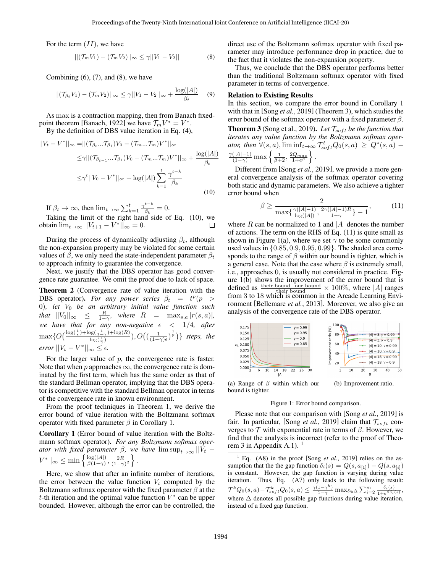For the term  $(II)$ , we have

$$
||(\mathcal{T}_m V_1) - (\mathcal{T}_m V_2)||_{\infty} \le \gamma ||V_1 - V_2|| \tag{8}
$$

Combining  $(6)$ ,  $(7)$ , and  $(8)$ , we have

$$
||(\mathcal{T}_{\beta_t} V_1) - (\mathcal{T}_m V_2)||_{\infty} \le \gamma ||V_1 - V_2||_{\infty} + \frac{\log(|A|)}{\beta_t} \quad (9)
$$

As max is a contraction mapping, then from Banach fixed-point theorem [\[Banach, 1922\]](#page-6-16) we have  $\mathcal{T}_m V^* = V^*$ . By the definition of DBS value iteration in Eq. [\(4\)](#page-1-1),

$$
||V_t - V^*||_{\infty} = ||(\mathcal{T}_{\beta_t} ... \mathcal{T}_{\beta_1})V_0 - (\mathcal{T}_m ... \mathcal{T}_m)V^*||_{\infty}
$$
  
\n
$$
\leq \gamma ||(\mathcal{T}_{\beta_{t-1}} ... \mathcal{T}_{\beta_1})V_0 - (\mathcal{T}_m ... \mathcal{T}_m)V^*||_{\infty} + \frac{\log(|A|)}{\beta_t}
$$
  
\n
$$
\leq \gamma^t ||V_0 - V^*||_{\infty} + \log(|A|) \sum_{k=1}^t \frac{\gamma^{t-k}}{\beta_k}
$$
\n(10)

If  $\beta_t \to \infty$ , then  $\lim_{t \to \infty} \sum_{k=1}^t \frac{\gamma^{t-k}}{\beta_k}$  $\frac{\partial}{\partial k} = 0.$ 

Taking the limit of the right hand side of Eq. [\(10\)](#page-2-1), we obtain  $\lim_{t\to\infty} ||V_{t+1} - V^*||_{\infty} = 0.$  $\Box$ 

During the process of dynamically adjusting  $\beta_t$ , although the non-expansion property may be violated for some certain values of  $\beta$ , we only need the state-independent parameter  $\beta_t$ to approach infinity to guarantee the convergence.

Next, we justify that the DBS operator has good convergence rate guarantee. We omit the proof due to lack of space.

<span id="page-2-7"></span>Theorem 2 (Convergence rate of value iteration with the DBS operator). For any power series  $\beta_t = t^p(p >$ 0)*, let* V<sup>0</sup> *be an arbitrary initial value function such that*  $||V_0||_{\infty} \le \frac{R}{1-\gamma}$ *, where*  $R = \max_{s,a} |r(s,a)|$ *, we have that for any non-negative* < 1/4*, after*  $\max\{O\left(\frac{\log(\frac{1}{\epsilon})+\log(\frac{1}{1-\gamma})+\log(R)}{\log(1)}\right\}$  $\frac{\log(\frac{1}{1-\gamma})+\log(R)}{\log(\frac{1}{\gamma})}, O\big((\frac{1}{(1-\gamma)\epsilon})^{\frac{1}{p}}\big)\}$  steps, the  $error \Vert V_t - V^* \Vert_{\infty} \leq \epsilon.$ 

For the larger value of  $p$ , the convergence rate is faster. Note that when p approaches  $\infty$ , the convergence rate is dominated by the first term, which has the same order as that of the standard Bellman operator, implying that the DBS operator is competitive with the standard Bellman operator in terms of the convergence rate in known environment.

From the proof techniques in Theorem [1,](#page-1-3) we derive the error bound of value iteration with the Boltzmann softmax operator with fixed parameter  $\beta$  in Corollary [1.](#page-2-2)

<span id="page-2-2"></span>Corollary 1 (Error bound of value iteration with the Boltzmann softmax operator). *For any Boltzmann softmax operator with fixed parameter*  $\beta$ *, we have*  $\limsup_{t\to\infty}$   $||V_t V^*||_{\infty} \leq \min\left\{\frac{\log(|A|)}{\beta(1-\gamma)}\right\}$  $\frac{\log(|A|)}{\beta(1-\gamma)}, \frac{2R}{(1-\gamma)^2}$ .

Here, we show that after an infinite number of iterations, the error between the value function  $V_t$  computed by the Boltzmann softmax operator with the fixed parameter  $\beta$  at the t-th iteration and the optimal value function  $V^*$  can be upper bounded. However, although the error can be controlled, the <span id="page-2-0"></span>direct use of the Boltzmann softmax operator with fixed parameter may introduce performance drop in practice, due to the fact that it violates the non-expansion property.

Thus, we conclude that the DBS operator performs better than the traditional Boltzmann softmax operator with fixed parameter in terms of convergence.

### Relation to Existing Results

In this section, we compare the error bound in Corollary [1](#page-2-2) with that in [Song *et al.*[, 2019\]](#page-6-10) (Theorem [3\)](#page-2-3), which studies the error bound of the softmax operator with a fixed parameter  $\beta$ .

<span id="page-2-3"></span><span id="page-2-1"></span>**Theorem 3** (Song et al., 2019). Let  $\mathcal{T}_{soft}$  be the function that *iterates any value function by the Boltzmann softmax operator, then*  $\forall (s, a)$ ,  $\liminf_{t \to \infty} \mathcal{T}_{soft}^t Q_0(s, a) \geq Q^*(s, a)$  –  $\frac{\gamma(|A|-1)}{(1-\gamma)}\max\left\{\frac{1}{\beta+2},\frac{2Q_{max}}{1+e^{\beta}}\right\}.$ 

Different from [Song *et al.*[, 2019\]](#page-6-10), we provide a more general convergence analysis of the softmax operator covering both static and dynamic parameters. We also achieve a tighter error bound when

<span id="page-2-4"></span>
$$
\beta \ge \frac{2}{\max\{\frac{\gamma(|A|-1)}{\log(|A|)}, \frac{2\gamma(|A|-1)R}{1-\gamma}\}-1},\tag{11}
$$

where  $R$  can be normalized to 1 and  $|A|$  denotes the number of actions. The term on the RHS of Eq. [\(11\)](#page-2-4) is quite small as shown in Figure [1\(](#page-2-5)a), where we set  $\gamma$  to be some commonly used values in  $\{0.85, 0.9, 0.95, 0.99\}$ . The shaded area corresponds to the range of  $\beta$  within our bound is tighter, which is a general case. Note that the case where  $\beta$  is extremely small, i.e., approaches 0, is usually not considered in practice. Figure [1\(](#page-2-5)b) shows the improvement of the error bound that is defined as their bound–our bound  $\times 100\%$ , where |A| ranges from 3 to 18 which is common in the Arcade Learning Environment [\[Bellemare](#page-6-17) *et al.*, 2013]. Moreover, we also give an analysis of the convergence rate of the DBS operator.

<span id="page-2-5"></span>

(a) Range of  $\beta$  within which our bound is tighter.

### Figure 1: Error bound comparison.

Please note that our comparison with [Song *et al.*[, 2019\]](#page-6-10) is fair. In particular, [Song *et al.*[, 2019\]](#page-6-10) claim that  $\mathcal{T}_{soft}$  converges to  $T$  with exponential rate in terms of  $\beta$ . However, we find that the analysis is incorrect (refer to the proof of Theo-rem 3 in Appendix A.[1](#page-2-6)).  $<sup>1</sup>$ </sup>

<span id="page-2-6"></span><sup>1</sup> Eq. (A8) in the proof [Song *et al.*[, 2019\]](#page-6-10) relies on the assumption that the the gap function  $\delta_i(s) = Q(s, a_{[1]}) - Q(s, a_{[i]})$ is constant. However, the gap function is varying during value iteration. Thus, Eq. (A7) only leads to the following result:  $\mathcal{T}^k Q_0(s,a) - \mathcal{T}_{soft}^k Q_0(s,a) \leq \frac{\gamma(1-\gamma^k)}{1-\gamma} \max_{\delta \in \Delta} \sum_{i=2}^m \frac{\delta_i(s)}{1 + e^{\beta \delta_i(s)}},$ where  $\Delta$  denotes all possible gap functions during value iteration, instead of a fixed gap function.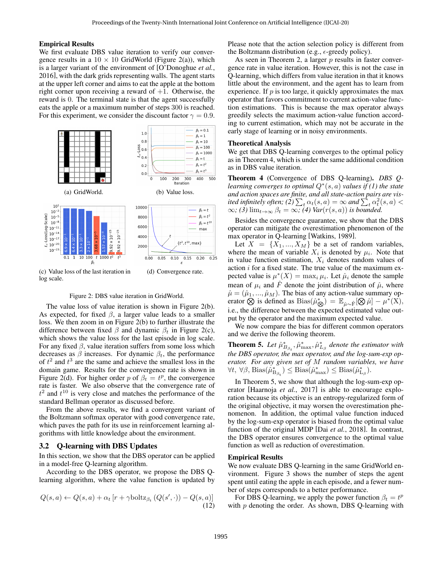#### Empirical Results

We first evaluate DBS value iteration to verify our convergence results in a  $10 \times 10$  GridWorld (Figure [2\(](#page-3-0)a)), which is a larger variant of the environment of [\[O'Donoghue](#page-6-18) *et al.*, [2016\]](#page-6-18), with the dark grids representing walls. The agent starts at the upper left corner and aims to eat the apple at the bottom right corner upon receiving a reward of  $+1$ . Otherwise, the reward is 0. The terminal state is that the agent successfully eats the apple or a maximum number of steps 300 is reached. For this experiment, we consider the discount factor  $\gamma = 0.9$ .

<span id="page-3-0"></span>

Figure 2: DBS value iteration in GridWorld.

The value loss of value iteration is shown in Figure [2\(](#page-3-0)b). As expected, for fixed  $\beta$ , a larger value leads to a smaller loss. We then zoom in on Figure [2\(](#page-3-0)b) to further illustrate the difference between fixed  $\beta$  and dynamic  $\beta_t$  in Figure [2\(](#page-3-0)c), which shows the value loss for the last episode in log scale. For any fixed  $\beta$ , value iteration suffers from some loss which decreases as  $\beta$  increases. For dynamic  $\beta_t$ , the performance of  $t^2$  and  $t^3$  are the same and achieve the smallest loss in the domain game. Results for the convergence rate is shown in Figure [2\(](#page-3-0)d). For higher order p of  $\beta_t = t^p$ , the convergence rate is faster. We also observe that the convergence rate of  $t^2$  and  $t^{10}$  is very close and matches the performance of the standard Bellman operator as discussed before.

From the above results, we find a convergent variant of the Boltzmann softmax operator with good convergence rate, which paves the path for its use in reinforcement learning algorithms with little knowledge about the environment.

### 3.2 Q-learning with DBS Updates

In this section, we show that the DBS operator can be applied in a model-free Q-learning algorithm.

According to the DBS operator, we propose the DBS Qlearning algorithm, where the value function is updated by

$$
Q(s, a) \leftarrow Q(s, a) + \alpha_t \left[ r + \gamma \text{boltz}_{\beta_t} \left( Q(s', \cdot) \right) - Q(s, a) \right] \tag{12}
$$

Please note that the action selection policy is different from the Boltzmann distribution (e.g.,  $\epsilon$ -greedy policy).

As seen in Theorem [2,](#page-2-7) a larger  $p$  results in faster convergence rate in value iteration. However, this is not the case in Q-learning, which differs from value iteration in that it knows little about the environment, and the agent has to learn from experience. If  $p$  is too large, it quickly approximates the max operator that favors commitment to current action-value function estimations. This is because the max operator always greedily selects the maximum action-value function according to current estimation, which may not be accurate in the early stage of learning or in noisy environments.

#### Theoretical Analysis

We get that DBS Q-learning converges to the optimal policy as in Theorem [4,](#page-3-1) which is under the same additional condition as in DBS value iteration.

<span id="page-3-1"></span>Theorem 4 (Convergence of DBS Q-learning). *DBS Qlearning converges to optimal*  $Q$ <sup>\*</sup>(s, a) *values if* (1) the state *and action spaces are finite, and all state-action pairs are vis*ited infinitely often; (2)  $\sum_{t} \alpha_t(s,a) = \infty$  and  $\sum_{t} \alpha_t^2(s,a) <$  $\infty$ *;* (3)  $\lim_{t\to\infty} \beta_t = \infty$ *;* (4)  $\text{Var}(r(s, a))$  *is bounded.* 

Besides the convergence guarantee, we show that the DBS operator can mitigate the overestimation phenomenon of the max operator in Q-learning [\[Watkins, 1989\]](#page-6-4).

Let  $X = \{X_1, ..., X_M\}$  be a set of random variables, where the mean of variable  $X_i$  is denoted by  $\mu_i$ . Note that in value function estimation,  $X_i$  denotes random values of action  $i$  for a fixed state. The true value of the maximum expected value is  $\mu^*(X) = \max_i \mu_i$ . Let  $\hat{\mu}_i$  denote the sample mean of  $\mu_i$  and F denote the joint distribution of  $\hat{\mu}$ , where  $\hat{\mu} = (\hat{\mu}_1, ..., \hat{\mu}_M)$ . The bias of any action-value summary operator  $\hat{\otimes}$  is defined as  $\text{Bias}(\hat{\mu}_{\hat{\otimes}}^*) = \mathbb{E}_{\hat{\mu} \sim \hat{F}}[\hat{\otimes} \hat{\mu}] - \mu^*(X),$ i.e., the difference between the expected estimated value output by the operator and the maximum expected value.

We now compare the bias for different common operators and we derive the following theorem.

<span id="page-3-2"></span>**Theorem 5.** Let  $\hat{\mu}_{B_{\beta_t}}^*, \hat{\mu}_{\max}^*, \hat{\mu}_{L_\beta}^*$  denote the estimator with *the DBS operator, the max operator, and the log-sum-exp operator. For any given set of* M *random variables, we have*  $\forall t, \ \forall \beta, \ \text{Bias}(\hat{\mu}_{\mathcal{B}_{\beta_t}}^*) \leq \text{Bias}(\hat{\mu}_{\max}^*) \leq \text{Bias}(\hat{\mu}_{\mathcal{L}_{\beta}}^*).$ 

In Theorem [5,](#page-3-2) we show that although the log-sum-exp operator [\[Haarnoja](#page-6-13) *et al.*, 2017] is able to encourage exploration because its objective is an entropy-regularized form of the original objective, it may worsen the overestimation phenomenon. In addition, the optimal value function induced by the log-sum-exp operator is biased from the optimal value function of the original MDP [Dai *et al.*[, 2018\]](#page-6-19). In contrast, the DBS operator ensures convergence to the optimal value function as well as reduction of overestimation.

#### Empirical Results

We now evaluate DBS Q-learning in the same GridWorld environment. Figure [3](#page-4-0) shows the number of steps the agent spent until eating the apple in each episode, and a fewer number of steps corresponds to a better performance.

For DBS Q-learning, we apply the power function  $\beta_t = t^p$ with  $p$  denoting the order. As shown, DBS Q-learning with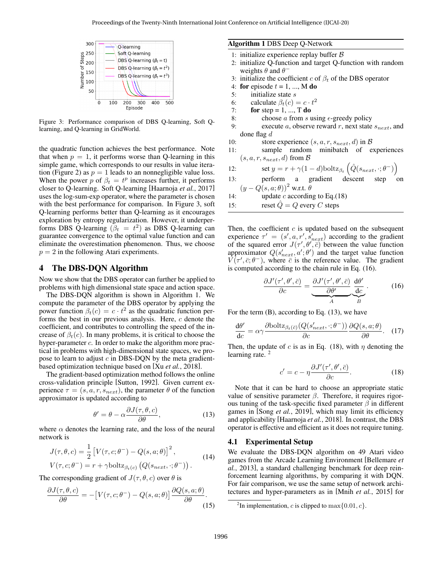<span id="page-4-0"></span>

Figure 3: Performance comparison of DBS Q-learning, Soft Qlearning, and Q-learning in GridWorld.

the quadratic function achieves the best performance. Note that when  $p = 1$ , it performs worse than Q-learning in this simple game, which corresponds to our results in value itera-tion (Figure [2\)](#page-3-0) as  $p = 1$  leads to an nonnegligible value loss. When the power p of  $\beta_t = t^p$  increases further, it performs closer to Q-learning. Soft Q-learning [\[Haarnoja](#page-6-13) *et al.*, 2017] uses the log-sum-exp operator, where the parameter is chosen with the best performance for comparison. In Figure [3,](#page-4-0) soft Q-learning performs better than Q-learning as it encourages exploration by entropy regularization. However, it underperforms DBS Q-learning  $(\beta_t = t^2)$  as DBS Q-learning can guarantee convergence to the optimal value function and can eliminate the overestimation phenomenon. Thus, we choose  $p = 2$  in the following Atari experiments.

## 4 The DBS-DQN Algorithm

Now we show that the DBS operator can further be applied to problems with high dimensional state space and action space.

The DBS-DQN algorithm is shown in Algorithm 1. We compute the parameter of the DBS operator by applying the power function  $\beta_t(c) = c \cdot t^2$  as the quadratic function performs the best in our previous analysis. Here, c denote the coefficient, and contributes to controlling the speed of the increase of  $\beta_t(c)$ . In many problems, it is critical to choose the hyper-parameter  $c$ . In order to make the algorithm more practical in problems with high-dimensional state spaces, we propose to learn to adjust  $c$  in DBS-DQN by the meta gradientbased optimization technique based on [Xu *et al.*[, 2018\]](#page-6-2).

The gradient-based optimization method follows the online cross-validation principle [\[Sutton, 1992\]](#page-6-20). Given current experience  $\tau = (s, a, r, s_{next})$ , the parameter  $\theta$  of the function approximator is updated according to

<span id="page-4-3"></span>
$$
\theta' = \theta - \alpha \frac{\partial J(\tau, \theta, c)}{\partial \theta},
$$
\n(13)

where  $\alpha$  denotes the learning rate, and the loss of the neural network is

$$
J(\tau, \theta, c) = \frac{1}{2} \left[ V(\tau, c; \theta^{-}) - Q(s, a; \theta) \right]^2,
$$
  
\n
$$
V(\tau, c; \theta^{-}) = r + \gamma \text{boltz}_{\beta_t(c)} \left( Q(s_{next}, \cdot; \theta^{-}) \right).
$$
 (14)

The corresponding gradient of  $J(\tau, \theta, c)$  over  $\theta$  is

$$
\frac{\partial J(\tau,\theta,c)}{\partial \theta} = -[V(\tau,c;\theta^-) - Q(s,a;\theta)] \frac{\partial Q(s,a;\theta)}{\partial \theta}.
$$
\n(15)

#### Algorithm 1 DBS Deep Q-Network

- 1: initialize experience replay buffer  $\beta$
- 2: initialize Q-function and target Q-function with random weights  $\theta$  and  $\theta^-$
- 3: initialize the coefficient c of  $\beta_t$  of the DBS operator
- 4: for episode  $t = 1, ..., M$  do
- 5: initialize state  $s$
- 6: calculate  $\beta_t(c) = c \cdot t^2$
- 7: for step = 1, ..., T do
- 8: choose a from s using  $\epsilon$ -greedy policy
- 9: execute a, observe reward r, next state  $s_{next}$ , and done flag d
- 10: store experience  $(s, a, r, s_{next}, d)$  in  $\beta$
- 11: sample random minibatch of experiences  $(s, a, r, s_{next}, d)$  from  $\mathcal{B}$

12: set 
$$
y = r + \gamma (1 - d) \text{boltz}_{\beta_t} \left( \hat{Q}(s_{next}, \cdot; \theta^{-}) \right)
$$

- 13: perform a gradient descent step on  $(y - Q(s, a; \theta))^2$  w.r.t.  $\theta$
- 14: update *c* according to Eq.[\(18\)](#page-4-1)

15: reset  $Q = Q$  every C steps

Then, the coefficient  $c$  is updated based on the subsequent experience  $\tau' = (s', a, r', s'_{next})$  according to the gradient of the squared error  $J(\tau', \theta', \overline{c})$  between the value function approximator  $Q(s'_{next}, a'; \theta')$  and the target value function  $V(\tau', \bar{c}; \theta^{-})$ , where  $\bar{c}$  is the reference value. The gradient is computed according to the chain rule in Eq. [\(16\)](#page-4-2).

<span id="page-4-2"></span>
$$
\frac{\partial J'(\tau', \theta', \bar{c})}{\partial c} = \underbrace{\frac{\partial J'(\tau', \theta', \bar{c})}{\partial \theta'}}_{A} \underbrace{\frac{\mathrm{d}\theta'}{\mathrm{d}c}}_{B}.
$$
 (16)

For the term  $(B)$ , according to Eq.  $(13)$ , we have

$$
\frac{d\theta'}{dc} = \alpha \gamma \frac{\partial \text{boltz}_{\beta_t(\bar{c})}(Q(s'_{next}, \cdot; \theta^-))}{\partial c} \frac{\partial Q(s, a; \theta)}{\partial \theta}.
$$
 (17)

Then, the update of c is as in Eq. [\(18\)](#page-4-1), with  $\eta$  denoting the learning rate.<sup>[2](#page-4-4)</sup>

<span id="page-4-1"></span>
$$
c' = c - \eta \frac{\partial J'(\tau', \theta', \bar{c})}{\partial c}.
$$
 (18)

Note that it can be hard to choose an appropriate static value of sensitive parameter  $β$ . Therefore, it requires rigorous tuning of the task-specific fixed parameter  $\beta$  in different games in [Song *et al.*[, 2019\]](#page-6-10), which may limit its efficiency and applicability [\[Haarnoja](#page-6-21) *et al.*, 2018]. In contrast, the DBS operator is effective and efficient as it does not require tuning.

#### 4.1 Experimental Setup

We evaluate the DBS-DQN algorithm on 49 Atari video games from the Arcade Learning Environment [\[Bellemare](#page-6-17) *et al.*[, 2013\]](#page-6-17), a standard challenging benchmark for deep reinforcement learning algorithms, by comparing it with DQN. For fair comparison, we use the same setup of network architectures and hyper-parameters as in [Mnih *et al.*[, 2015\]](#page-6-1) for

<span id="page-4-4"></span><sup>&</sup>lt;sup>2</sup>In implementation, c is clipped to  $\max\{0.01, c\}$ .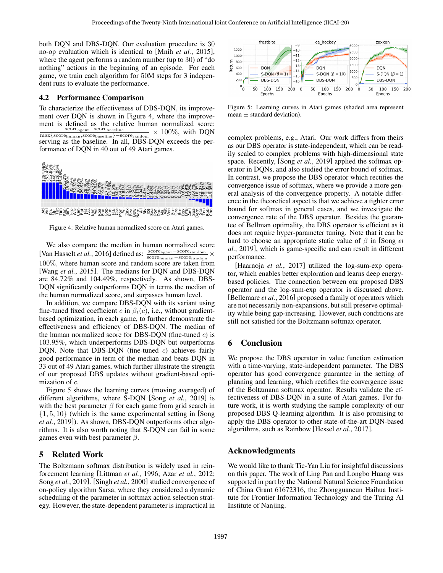both DQN and DBS-DQN. Our evaluation procedure is 30 no-op evaluation which is identical to [Mnih *et al.*[, 2015\]](#page-6-1), where the agent performs a random number (up to 30) of "do nothing" actions in the beginning of an episode. For each game, we train each algorithm for 50M steps for 3 independent runs to evaluate the performance.

#### 4.2 Performance Comparison

To characterize the effectiveness of DBS-DQN, its improvement over DQN is shown in Figure [4,](#page-5-0) where the improvement is defined as the relative human normalized score: scoreagent−scorebaseline  $\frac{\text{score}_{\text{agent}} - \text{score}_{\text{baseline}}}{\max\{\text{score}_{\text{human}}, \text{score}_{\text{baseline}}\} - \text{score}_{\text{random}}} \times 100\%, \text{ with DQN}$ serving as the baseline. In all, DBS-DQN exceeds the performance of DQN in 40 out of 49 Atari games.

<span id="page-5-0"></span>

Figure 4: Relative human normalized score on Atari games.

We also compare the median in human normalized score [\[Van Hasselt](#page-6-22) *et al.*, 2016] defined as:  $\frac{\text{score}_{\text{agent}} - \text{score}_{\text{random}}}{\text{score}_{\text{human}} - \text{score}_{\text{random}}}$  × 100%, where human score and random score are taken from [Wang *et al.*[, 2015\]](#page-6-23). The medians for DQN and DBS-DQN are 84.72% and 104.49%, respectively. As shown, DBS-DQN significantly outperforms DQN in terms the median of the human normalized score, and surpasses human level.

In addition, we compare DBS-DQN with its variant using fine-tuned fixed coefficient c in  $\beta_t(c)$ , i.e., without gradientbased optimization, in each game, to further demonstrate the effectiveness and efficiency of DBS-DQN. The median of the human normalized score for DBS-DQN (fine-tuned  $c$ ) is 103.95%, which underperforms DBS-DQN but outperforms DQN. Note that DBS-DQN (fine-tuned  $c$ ) achieves fairly good performance in term of the median and beats DQN in 33 out of 49 Atari games, which further illustrate the strength of our proposed DBS updates without gradient-based optimization of c.

Figure [5](#page-5-1) shows the learning curves (moving averaged) of different algorithms, where S-DQN [Song *et al.*[, 2019\]](#page-6-10) is with the best parameter  $\beta$  for each game from grid search in  $\{1, 5, 10\}$  (which is the same experimental setting in [\[Song](#page-6-10)] *et al.*[, 2019\]](#page-6-10)). As shown, DBS-DQN outperforms other algorithms. It is also worth noting that S-DQN can fail in some games even with best parameter  $\beta$ .

## 5 Related Work

The Boltzmann softmax distribution is widely used in reinforcement learning [\[Littman](#page-6-24) *et al.*, 1996; Azar *et al.*[, 2012;](#page-6-8) Song *et al.*[, 2019\]](#page-6-10). [Singh *et al.*[, 2000\]](#page-6-25) studied convergence of on-policy algorithm Sarsa, where they considered a dynamic scheduling of the parameter in softmax action selection strategy. However, the state-dependent parameter is impractical in

<span id="page-5-1"></span>

Figure 5: Learning curves in Atari games (shaded area represent mean  $\pm$  standard deviation).

complex problems, e.g., Atari. Our work differs from theirs as our DBS operator is state-independent, which can be readily scaled to complex problems with high-dimensional state space. Recently, [Song *et al.*[, 2019\]](#page-6-10) applied the softmax operator in DQNs, and also studied the error bound of softmax. In contrast, we propose the DBS operator which rectifies the convergence issue of softmax, where we provide a more general analysis of the convergence property. A notable difference in the theoretical aspect is that we achieve a tighter error bound for softmax in general cases, and we investigate the convergence rate of the DBS operator. Besides the guarantee of Bellman optimality, the DBS operator is efficient as it does not require hyper-parameter tuning. Note that it can be hard to choose an appropriate static value of β in [\[Song](#page-6-10) *et al.*[, 2019\]](#page-6-10), which is game-specific and can result in different performance.

[\[Haarnoja](#page-6-13) *et al.*, 2017] utilized the log-sum-exp operator, which enables better exploration and learns deep energybased policies. The connection between our proposed DBS operator and the log-sum-exp operator is discussed above. [\[Bellemare](#page-6-26) *et al.*, 2016] proposed a family of operators which are not necessarily non-expansions, but still preserve optimality while being gap-increasing. However, such conditions are still not satisfied for the Boltzmann softmax operator.

### 6 Conclusion

We propose the DBS operator in value function estimation with a time-varying, state-independent parameter. The DBS operator has good convergence guarantee in the setting of planning and learning, which rectifies the convergence issue of the Boltzmann softmax operator. Results validate the effectiveness of DBS-DQN in a suite of Atari games. For future work, it is worth studying the sample complexity of our proposed DBS Q-learning algorithm. It is also promising to apply the DBS operator to other state-of-the-art DQN-based algorithms, such as Rainbow [\[Hessel](#page-6-27) *et al.*, 2017].

### Acknowledgments

We would like to thank Tie-Yan Liu for insightful discussions on this paper. The work of Ling Pan and Longbo Huang was supported in part by the National Natural Science Foundation of China Grant 61672316, the Zhongguancun Haihua Institute for Frontier Information Technology and the Turing AI Institute of Nanjing.